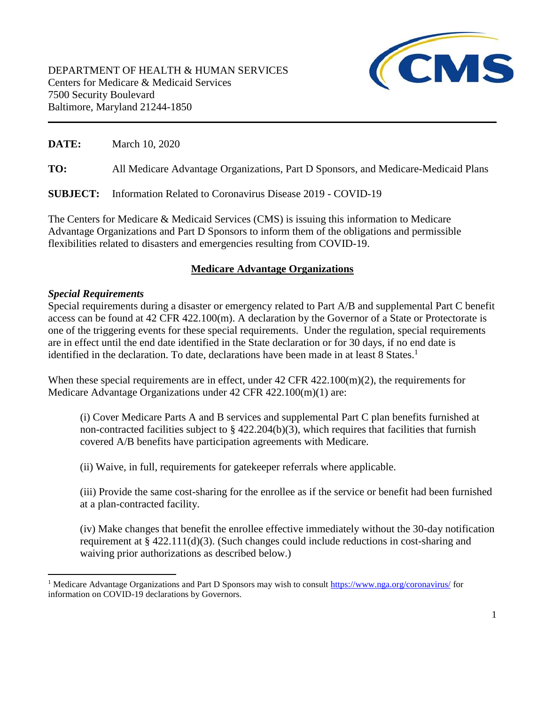

**DATE:** March 10, 2020

**TO:** All Medicare Advantage Organizations, Part D Sponsors, and Medicare-Medicaid Plans

**SUBJECT:** Information Related to Coronavirus Disease 2019 - COVID-19

The Centers for Medicare & Medicaid Services (CMS) is issuing this information to Medicare Advantage Organizations and Part D Sponsors to inform them of the obligations and permissible flexibilities related to disasters and emergencies resulting from COVID-19.

# **Medicare Advantage Organizations**

#### *Special Requirements*

l

Special requirements during a disaster or emergency related to Part A/B and supplemental Part C benefit access can be found at 42 CFR 422.100(m). A declaration by the Governor of a State or Protectorate is one of the triggering events for these special requirements. Under the regulation, special requirements are in effect until the end date identified in the State declaration or for 30 days, if no end date is identified in the declaration. To date, declarations have been made in at least 8 States.<sup>1</sup>

When these special requirements are in effect, under  $42 \text{ CFR } 422.100 \text{ (m)}(2)$ , the requirements for Medicare Advantage Organizations under 42 CFR 422.100(m)(1) are:

(i) Cover Medicare Parts A and B services and supplemental Part C plan benefits furnished at non-contracted facilities subject to § 422.204(b)(3), which requires that facilities that furnish covered A/B benefits have participation agreements with Medicare.

(ii) Waive, in full, requirements for gatekeeper referrals where applicable.

(iii) Provide the same cost-sharing for the enrollee as if the service or benefit had been furnished at a plan-contracted facility.

(iv) Make changes that benefit the enrollee effective immediately without the 30-day notification requirement at  $\S 422.111(d)(3)$ . (Such changes could include reductions in cost-sharing and waiving prior authorizations as described below.)

<sup>&</sup>lt;sup>1</sup> Medicare Advantage Organizations and Part D Sponsors may wish to consult<https://www.nga.org/coronavirus/>for information on COVID-19 declarations by Governors.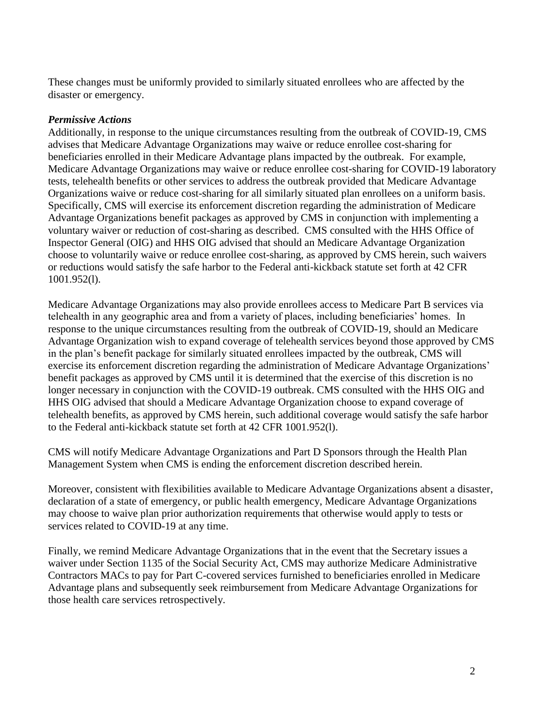These changes must be uniformly provided to similarly situated enrollees who are affected by the disaster or emergency.

### *Permissive Actions*

Additionally, in response to the unique circumstances resulting from the outbreak of COVID-19, CMS advises that Medicare Advantage Organizations may waive or reduce enrollee cost-sharing for beneficiaries enrolled in their Medicare Advantage plans impacted by the outbreak. For example, Medicare Advantage Organizations may waive or reduce enrollee cost-sharing for COVID-19 laboratory tests, telehealth benefits or other services to address the outbreak provided that Medicare Advantage Organizations waive or reduce cost-sharing for all similarly situated plan enrollees on a uniform basis. Specifically, CMS will exercise its enforcement discretion regarding the administration of Medicare Advantage Organizations benefit packages as approved by CMS in conjunction with implementing a voluntary waiver or reduction of cost-sharing as described. CMS consulted with the HHS Office of Inspector General (OIG) and HHS OIG advised that should an Medicare Advantage Organization choose to voluntarily waive or reduce enrollee cost-sharing, as approved by CMS herein, such waivers or reductions would satisfy the safe harbor to the Federal anti-kickback statute set forth at 42 CFR 1001.952(l).

Medicare Advantage Organizations may also provide enrollees access to Medicare Part B services via telehealth in any geographic area and from a variety of places, including beneficiaries' homes. In response to the unique circumstances resulting from the outbreak of COVID-19, should an Medicare Advantage Organization wish to expand coverage of telehealth services beyond those approved by CMS in the plan's benefit package for similarly situated enrollees impacted by the outbreak, CMS will exercise its enforcement discretion regarding the administration of Medicare Advantage Organizations' benefit packages as approved by CMS until it is determined that the exercise of this discretion is no longer necessary in conjunction with the COVID-19 outbreak. CMS consulted with the HHS OIG and HHS OIG advised that should a Medicare Advantage Organization choose to expand coverage of telehealth benefits, as approved by CMS herein, such additional coverage would satisfy the safe harbor to the Federal anti-kickback statute set forth at 42 CFR 1001.952(l).

CMS will notify Medicare Advantage Organizations and Part D Sponsors through the Health Plan Management System when CMS is ending the enforcement discretion described herein.

Moreover, consistent with flexibilities available to Medicare Advantage Organizations absent a disaster, declaration of a state of emergency, or public health emergency, Medicare Advantage Organizations may choose to waive plan prior authorization requirements that otherwise would apply to tests or services related to COVID-19 at any time.

Finally, we remind Medicare Advantage Organizations that in the event that the Secretary issues a waiver under Section 1135 of the Social Security Act, CMS may authorize Medicare Administrative Contractors MACs to pay for Part C-covered services furnished to beneficiaries enrolled in Medicare Advantage plans and subsequently seek reimbursement from Medicare Advantage Organizations for those health care services retrospectively.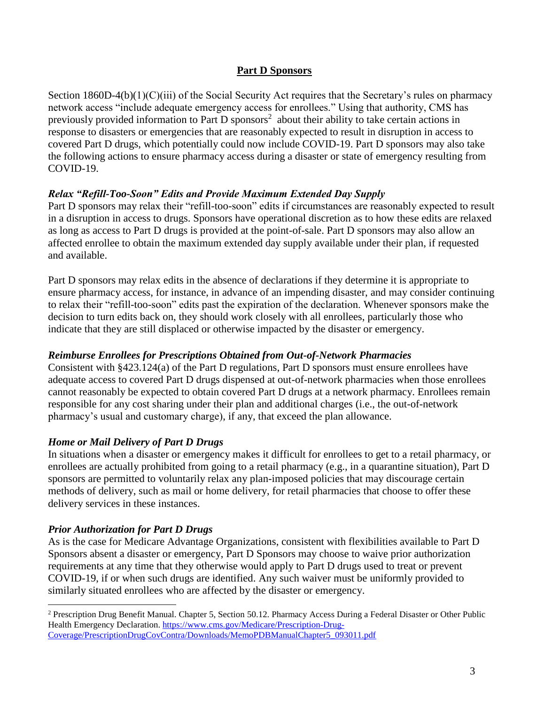### **Part D Sponsors**

Section 1860D-4(b)(1)(C)(iii) of the Social Security Act requires that the Secretary's rules on pharmacy network access "include adequate emergency access for enrollees." Using that authority, CMS has previously provided information to Part D sponsors<sup>2</sup> about their ability to take certain actions in response to disasters or emergencies that are reasonably expected to result in disruption in access to covered Part D drugs, which potentially could now include COVID-19. Part D sponsors may also take the following actions to ensure pharmacy access during a disaster or state of emergency resulting from COVID-19.

# *Relax "Refill-Too-Soon" Edits and Provide Maximum Extended Day Supply*

Part D sponsors may relax their "refill-too-soon" edits if circumstances are reasonably expected to result in a disruption in access to drugs. Sponsors have operational discretion as to how these edits are relaxed as long as access to Part D drugs is provided at the point-of-sale. Part D sponsors may also allow an affected enrollee to obtain the maximum extended day supply available under their plan, if requested and available.

Part D sponsors may relax edits in the absence of declarations if they determine it is appropriate to ensure pharmacy access, for instance, in advance of an impending disaster, and may consider continuing to relax their "refill-too-soon" edits past the expiration of the declaration. Whenever sponsors make the decision to turn edits back on, they should work closely with all enrollees, particularly those who indicate that they are still displaced or otherwise impacted by the disaster or emergency.

### *Reimburse Enrollees for Prescriptions Obtained from Out-of-Network Pharmacies*

Consistent with §423.124(a) of the Part D regulations, Part D sponsors must ensure enrollees have adequate access to covered Part D drugs dispensed at out-of-network pharmacies when those enrollees cannot reasonably be expected to obtain covered Part D drugs at a network pharmacy. Enrollees remain responsible for any cost sharing under their plan and additional charges (i.e., the out-of-network pharmacy's usual and customary charge), if any, that exceed the plan allowance.

# *Home or Mail Delivery of Part D Drugs*

In situations when a disaster or emergency makes it difficult for enrollees to get to a retail pharmacy, or enrollees are actually prohibited from going to a retail pharmacy (e.g., in a quarantine situation), Part D sponsors are permitted to voluntarily relax any plan-imposed policies that may discourage certain methods of delivery, such as mail or home delivery, for retail pharmacies that choose to offer these delivery services in these instances.

#### *Prior Authorization for Part D Drugs*

l

As is the case for Medicare Advantage Organizations, consistent with flexibilities available to Part D Sponsors absent a disaster or emergency, Part D Sponsors may choose to waive prior authorization requirements at any time that they otherwise would apply to Part D drugs used to treat or prevent COVID-19, if or when such drugs are identified. Any such waiver must be uniformly provided to similarly situated enrollees who are affected by the disaster or emergency.

<sup>&</sup>lt;sup>2</sup> Prescription Drug Benefit Manual. Chapter 5, Section 50.12. Pharmacy Access During a Federal Disaster or Other Public Health Emergency Declaration. [https://www.cms.gov/Medicare/Prescription-Drug-](https://www.cms.gov/Medicare/Prescription-Drug-Coverage/PrescriptionDrugCovContra/Downloads/MemoPDBManualChapter5_093011.pdf)[Coverage/PrescriptionDrugCovContra/Downloads/MemoPDBManualChapter5\\_093011.pdf](https://www.cms.gov/Medicare/Prescription-Drug-Coverage/PrescriptionDrugCovContra/Downloads/MemoPDBManualChapter5_093011.pdf)